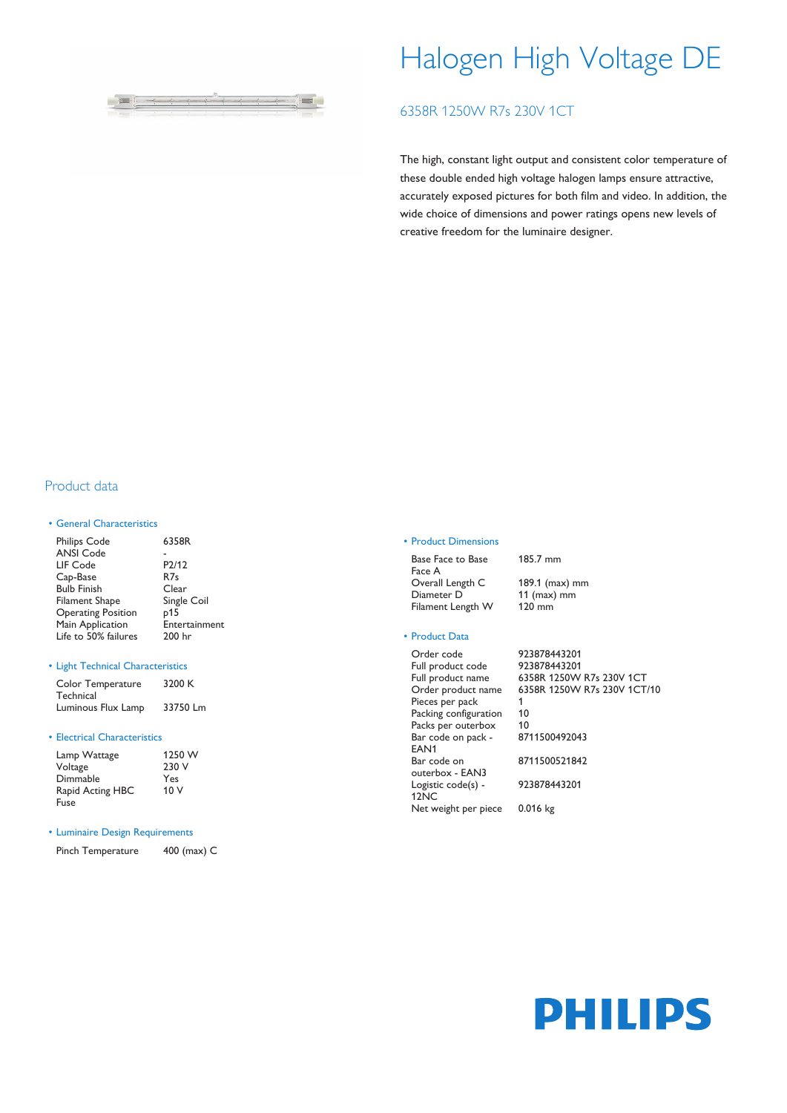

# Halogen High Voltage DE

## 6358R 1250W R7s 230V 1CT

The high, constant light output and consistent color temperature of these double ended high voltage halogen lamps ensure attractive, accurately exposed pictures for both film and video. In addition, the wide choice of dimensions and power ratings opens new levels of creative freedom for the luminaire designer.

## Product data

#### • General Characteristics

| <b>Philips Code</b>       | 6358R         |
|---------------------------|---------------|
| <b>ANSI Code</b>          |               |
| LIF Code                  | P2/12         |
| Cap-Base                  | R7s           |
| <b>Bulb Finish</b>        | Clear         |
| <b>Filament Shape</b>     | Single Coil   |
| <b>Operating Position</b> | p15           |
| Main Application          | Entertainment |
| Life to 50% failures      | 200 hr        |
|                           |               |

#### • Light Technical Characteristics

| Color Temperature  | 3200 K   |
|--------------------|----------|
| Technical          |          |
| Luminous Flux Lamp | 33750 Lm |

#### • Electrical Characteristics

| Lamp Wattage     | 1250 W |
|------------------|--------|
| Voltage          | 230 V  |
| Dimmable         | Yes    |
| Rapid Acting HBC | 10V    |
| Fuse             |        |

#### • Luminaire Design Requirements

Pinch Temperature 400 (max) C

#### • Product Dimensions

Base Face to Base Face A Overall Length C 189.1 (max) mm<br>
Diameter D 11 (max) mm Filament Length W 120 mm

185.7 mm

11 ( $max$ ) mm

#### • Product Data

| Order code<br>Full product code<br>Full product name<br>Order product name<br>Pieces per pack<br>Packing configuration<br>Packs per outerbox<br>Bar code on pack -<br><b>FAN1</b><br>Bar code on | 923878443201<br>923878443201<br>6358R 1250W R7s 230V 1CT<br>6358R 1250W R7s 230V 1CT/10<br>1<br>10<br>10<br>8711500492043<br>8711500521842 |
|--------------------------------------------------------------------------------------------------------------------------------------------------------------------------------------------------|--------------------------------------------------------------------------------------------------------------------------------------------|
| outerbox - EAN3<br>Logistic code(s) -                                                                                                                                                            | 923878443201                                                                                                                               |
| 12NC<br>Net weight per piece                                                                                                                                                                     | $0.016$ kg                                                                                                                                 |